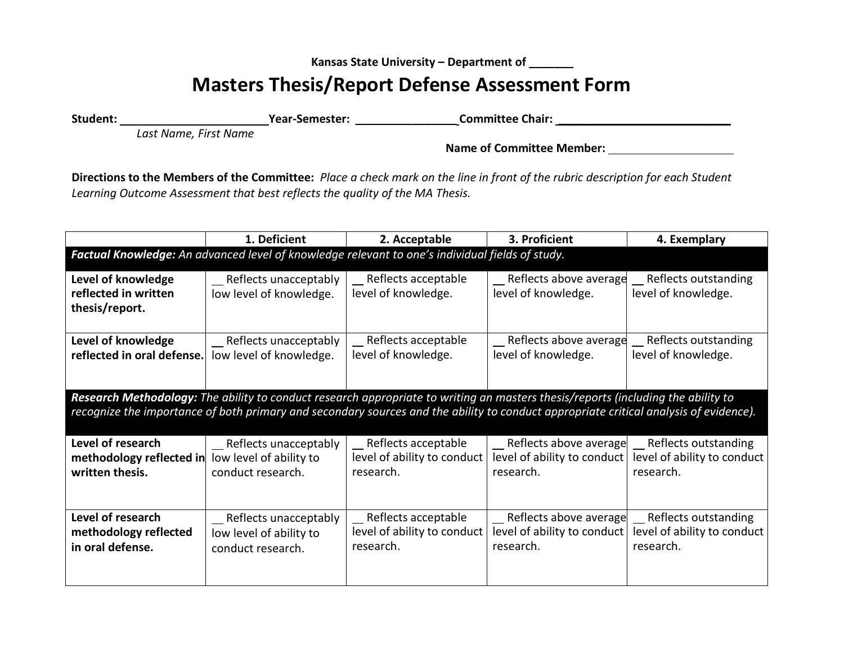**Kansas State University – Department of \_\_\_\_\_\_\_**

## **Masters Thesis/Report Defense Assessment Form**

**Student: Year-Semester: \_\_\_\_\_\_\_\_\_\_\_\_\_\_\_\_ Committee Chair: \_\_\_\_\_\_\_\_\_\_\_\_\_\_\_\_\_\_\_\_\_\_\_\_\_\_\_**

*Last Name, First Name*

**Name of Committee Member:**

**Directions to the Members of the Committee:** *Place a check mark on the line in front of the rubric description for each Student Learning Outcome Assessment that best reflects the quality of the MA Thesis.*

|                                                                                                                                                                                                                                                                           | 1. Deficient                                                             | 2. Acceptable                                                                                   | 3. Proficient                                                        | 4. Exemplary                                                     |  |  |
|---------------------------------------------------------------------------------------------------------------------------------------------------------------------------------------------------------------------------------------------------------------------------|--------------------------------------------------------------------------|-------------------------------------------------------------------------------------------------|----------------------------------------------------------------------|------------------------------------------------------------------|--|--|
|                                                                                                                                                                                                                                                                           |                                                                          | Factual Knowledge: An advanced level of knowledge relevant to one's individual fields of study. |                                                                      |                                                                  |  |  |
| Level of knowledge<br>reflected in written<br>thesis/report.                                                                                                                                                                                                              | _ Reflects unacceptably<br>low level of knowledge.                       | __ Reflects acceptable<br>level of knowledge.                                                   | _ Reflects above average<br>level of knowledge.                      | Reflects outstanding<br>level of knowledge.                      |  |  |
| Level of knowledge<br>reflected in oral defense.                                                                                                                                                                                                                          | _ Reflects unacceptably<br>low level of knowledge.                       | Reflects acceptable<br>level of knowledge.                                                      | _ Reflects above average<br>level of knowledge.                      | Reflects outstanding<br>level of knowledge.                      |  |  |
| Research Methodology: The ability to conduct research appropriate to writing an masters thesis/reports (including the ability to<br>recognize the importance of both primary and secondary sources and the ability to conduct appropriate critical analysis of evidence). |                                                                          |                                                                                                 |                                                                      |                                                                  |  |  |
| Level of research<br>methodology reflected in<br>written thesis.                                                                                                                                                                                                          | __ Reflects unacceptably<br>low level of ability to<br>conduct research. | _ Reflects acceptable<br>level of ability to conduct<br>research.                               | _ Reflects above average<br>level of ability to conduct<br>research. | Reflects outstanding<br>level of ability to conduct<br>research. |  |  |
| Level of research<br>methodology reflected<br>in oral defense.                                                                                                                                                                                                            | __ Reflects unacceptably<br>low level of ability to<br>conduct research. | Reflects acceptable<br>level of ability to conduct<br>research.                                 | Reflects above average<br>level of ability to conduct<br>research.   | Reflects outstanding<br>level of ability to conduct<br>research. |  |  |